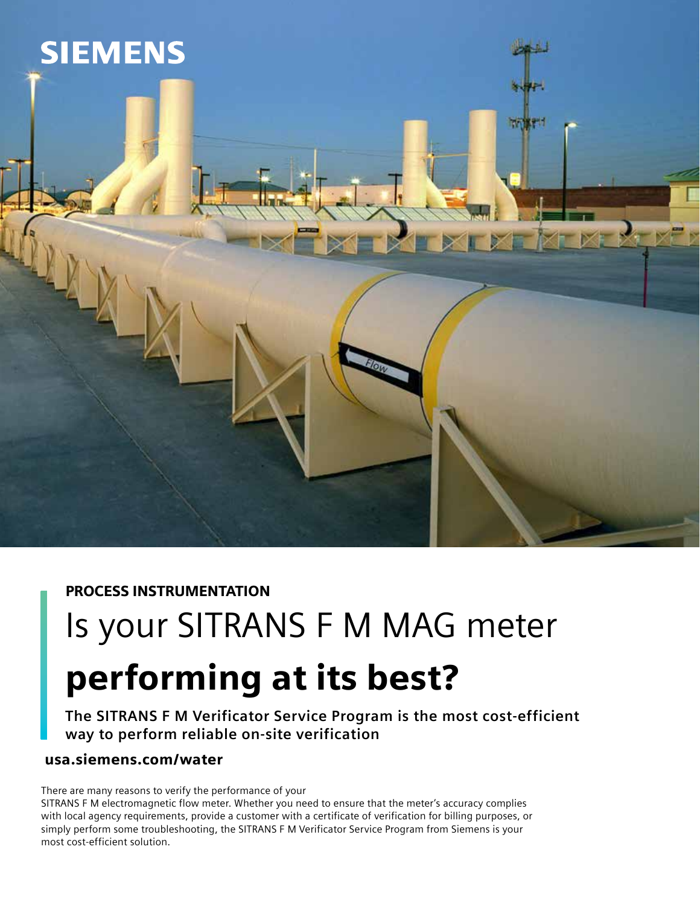

# PROCESS INSTRUMENTATION

# Is your SITRANS F M MAG meter performing at its best?

**The SITRANS F M Verificator Service Program is the most cost-efficient way to perform reliable on-site verification**

## usa.siemens.com/water

There are many reasons to verify the performance of your

SITRANS F M electromagnetic flow meter. Whether you need to ensure that the meter's accuracy complies with local agency requirements, provide a customer with a certificate of verification for billing purposes, or simply perform some troubleshooting, the SITRANS F M Verificator Service Program from Siemens is your most cost-efficient solution.